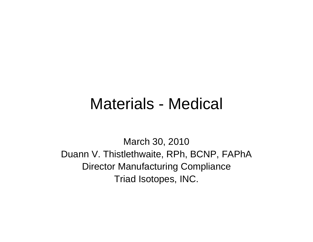#### Materials - Medical

March 30, 2010 Duann V. Thistlethwaite, RPh, BCNP, FAPhA Director Manufacturing Compliance Triad Isotopes, INC.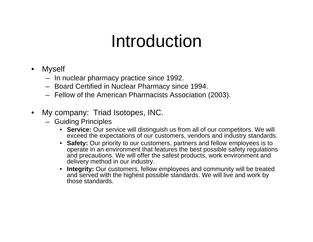## Introduction

- • Myself
	- In nuclear pharmacy practice since 1992.
	- Board Certified in Nuclear Pharmacy since 1994.
	- Fellow of the American Pharmacists Association (2003).
- • My company: Triad Isotopes, INC.
	- Guiding Principles
		- **Service:** Our service will distinguish us from all of our competitors. We will exceed the expectations of our customers, vendors and industry standards.
		- • **Safety:** Our priority to our customers, partners and fellow employees is to operate in an environment that features the best possible safety regulations and precautions. We will offer the safest products, work environment and delivery method in our industry.
		- • **Integrity:** Our customers, fellow employees and community will be treated and served with the highest possible standards. We will live and work by those standards.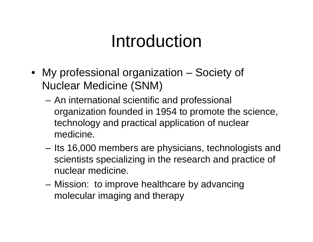## Introduction

- My professional organization Society of Nuclear Medicine (SNM)
	- – An international scientific and professional organization founded in 1954 to promote the science, technology and practical application of nuclear medicine.
	- – Its 16,000 members are physicians, technologists and scientists specializing in the research and practice of nuclear medicine.
	- **Links of the Company**  Mission: to improve healthcare by advancing molecular imaging and therapy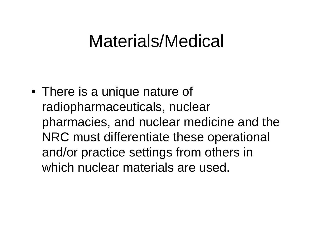• There is a unique nature of radiopharmaceuticals, nuclear pharmacies, and nuclear medicine and the NRC must differentiate these operational and/or practice settings from others in which nuclear materials are used.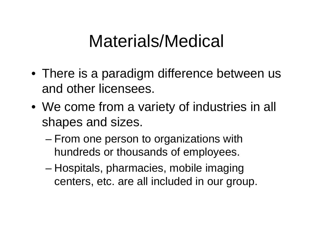- There is a paradigm difference between us and other licensees.
- We come from a variety of industries in all shapes and sizes.
	- and the state of the state From one person to organizations with hundreds or thousands of employees.
	- and the state of the state Hospitals, pharmacies, mobile imaging centers, etc. are all included in our group.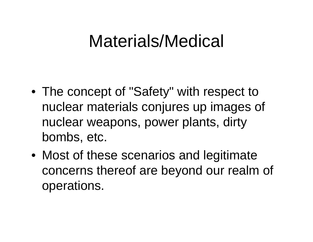- The concept of "Safety" with respect to nuclear materials conjures up images of nuclear weapons, power plants, dirty bombs, etc.
- Most of these scenarios and legitimate concerns thereof are beyond our realm of operations.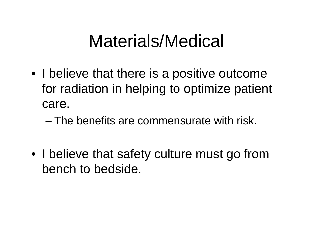- I believe that there is a positive outcome for radiation in helping to optimize patient care.
	- The benefits are commensurate with risk.
- I believe that safety culture must go from bench to bedside.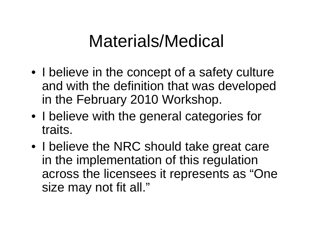- I believe in the concept of a safety culture and with the definition that was developed in the February 2010 Workshop.
- I believe with the general categories for traits.
- I believe the NRC should take great care in the implementation of this regulation across the licensees it represents as "One size may not fit all."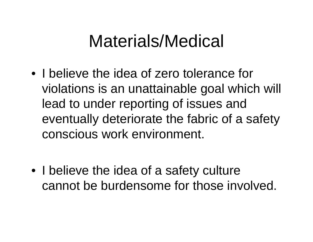• I believe the idea of zero tolerance for violations is an unattainable goal which will lead to under reporting of issues and eventually deteriorate the fabric of a safety conscious work environment.

• I believe the idea of a safety culture cannot be burdensome for those involved.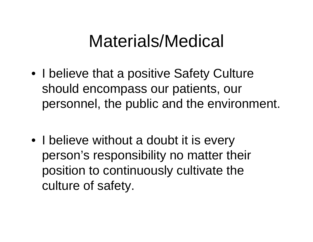- I believe that a positive Safety Culture should encompass our patients, our personnel, the public and the environment.
- I believe without a doubt it is every person's responsibility no matter their position to continuously cultivate the culture of safety.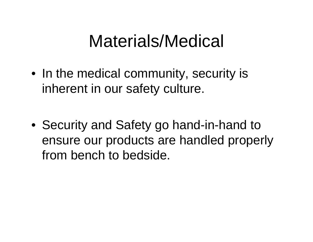• In the medical community, security is inherent in our safety culture.

• Security and Safety go hand-in-hand to ensure our products are handled properly from bench to bedside.